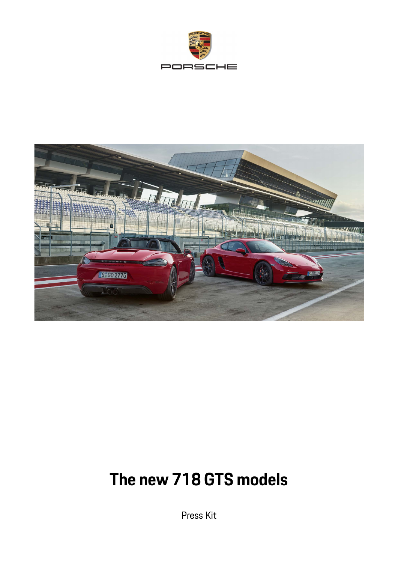



# **The new 718 GTS models**

Press Kit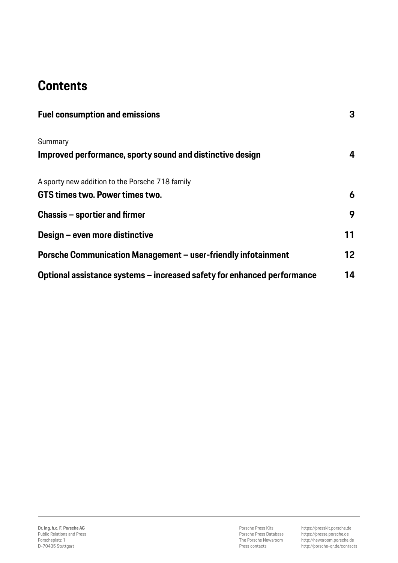# **Contents**

| <b>Fuel consumption and emissions</b>                                   | 3  |
|-------------------------------------------------------------------------|----|
| Summary<br>Improved performance, sporty sound and distinctive design    | 4  |
| A sporty new addition to the Porsche 718 family                         |    |
| GTS times two. Power times two.                                         | 6  |
| Chassis – sportier and firmer                                           | 9  |
| Design – even more distinctive                                          | 11 |
| Porsche Communication Management - user-friendly infotainment           | 12 |
| Optional assistance systems - increased safety for enhanced performance | 14 |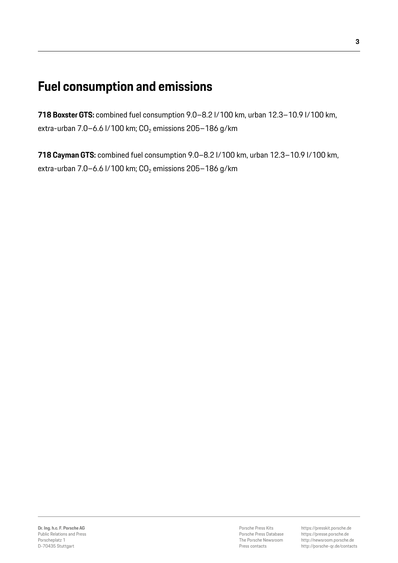### **Fuel consumption and emissions**

**718 Boxster GTS:** combined fuel consumption 9.0–8.2 l/100 km, urban 12.3–10.9 l/100 km, extra-urban 7.0–6.6 l/100 km;  $CO<sub>2</sub>$  emissions 205–186 g/km

**718 Cayman GTS:** combined fuel consumption 9.0–8.2 l/100 km, urban 12.3–10.9 l/100 km, extra-urban 7.0–6.6 l/100 km;  $CO<sub>2</sub>$  emissions 205–186 g/km

Porsche Press Kits Porsche Press Database The Porsche Newsroom Press contacts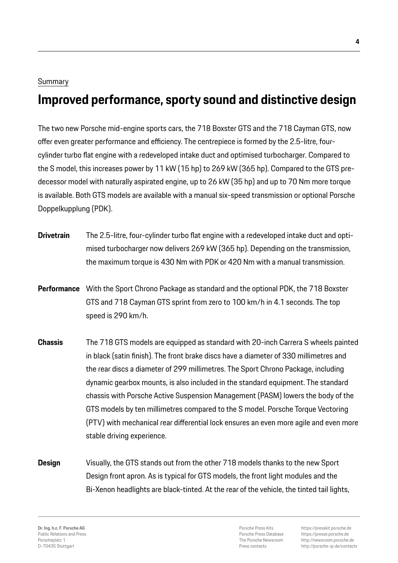#### Summary

# **Improved performance, sporty sound and distinctive design**

The two new Porsche mid-engine sports cars, the 718 Boxster GTS and the 718 Cayman GTS, now offer even greater performance and efficiency. The centrepiece is formed by the 2.5-litre, fourcylinder turbo flat engine with a redeveloped intake duct and optimised turbocharger. Compared to the S model, this increases power by 11 kW (15 hp) to 269 kW (365 hp). Compared to the GTS predecessor model with naturally aspirated engine, up to 26 kW (35 hp) and up to 70 Nm more torque is available. Both GTS models are available with a manual six-speed transmission or optional Porsche Doppelkupplung (PDK).

- **Drivetrain** The 2.5-litre, four-cylinder turbo flat engine with a redeveloped intake duct and optimised turbocharger now delivers 269 kW (365 hp). Depending on the transmission, the maximum torque is 430 Nm with PDK or 420 Nm with a manual transmission.
- **Performance** With the Sport Chrono Package as standard and the optional PDK, the 718 Boxster GTS and 718 Cayman GTS sprint from zero to 100 km/h in 4.1 seconds. The top speed is 290 km/h.
- **Chassis** The 718 GTS models are equipped as standard with 20-inch Carrera S wheels painted in black (satin finish). The front brake discs have a diameter of 330 millimetres and the rear discs a diameter of 299 millimetres. The Sport Chrono Package, including dynamic gearbox mounts, is also included in the standard equipment. The standard chassis with Porsche Active Suspension Management (PASM) lowers the body of the GTS models by ten millimetres compared to the S model. Porsche Torque Vectoring (PTV) with mechanical rear differential lock ensures an even more agile and even more stable driving experience.
- **Design** Visually, the GTS stands out from the other 718 models thanks to the new Sport Design front apron. As is typical for GTS models, the front light modules and the Bi-Xenon headlights are black-tinted. At the rear of the vehicle, the tinted tail lights,

Porsche Press Kits Porsche Press Database The Porsche Newsroom Press contacts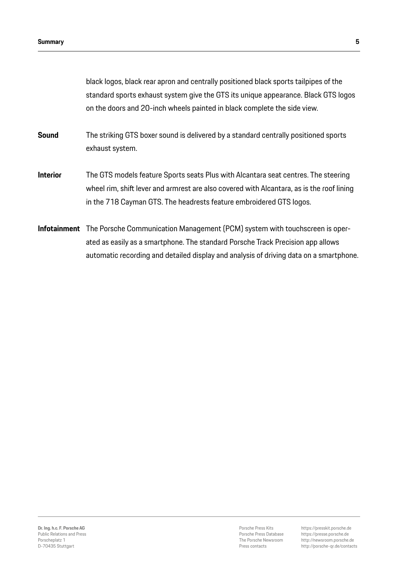black logos, black rear apron and centrally positioned black sports tailpipes of the standard sports exhaust system give the GTS its unique appearance. Black GTS logos on the doors and 20-inch wheels painted in black complete the side view.

- **Sound** The striking GTS boxer sound is delivered by a standard centrally positioned sports exhaust system.
- **Interior** The GTS models feature Sports seats Plus with Alcantara seat centres. The steering wheel rim, shift lever and armrest are also covered with Alcantara, as is the roof lining in the 718 Cayman GTS. The headrests feature embroidered GTS logos.
- **Infotainment** The Porsche Communication Management (PCM) system with touchscreen is operated as easily as a smartphone. The standard Porsche Track Precision app allows automatic recording and detailed display and analysis of driving data on a smartphone.

Porsche Press Kits Porsche Press Database The Porsche Newsroom Press contacts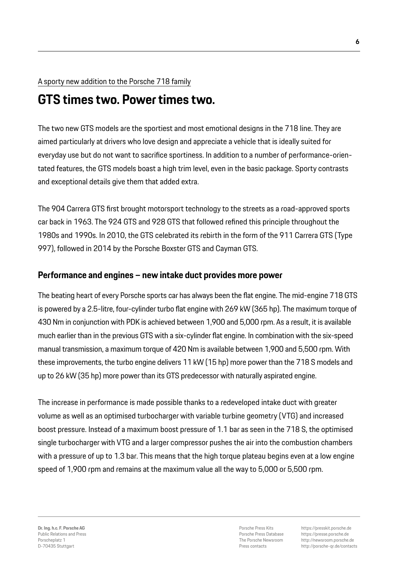#### A sporty new addition to the Porsche 718 family

#### **GTS times two. Power times two.**

The two new GTS models are the sportiest and most emotional designs in the 718 line. They are aimed particularly at drivers who love design and appreciate a vehicle that is ideally suited for everyday use but do not want to sacrifice sportiness. In addition to a number of performance-orientated features, the GTS models boast a high trim level, even in the basic package. Sporty contrasts and exceptional details give them that added extra.

The 904 Carrera GTS first brought motorsport technology to the streets as a road-approved sports car back in 1963. The 924 GTS and 928 GTS that followed refined this principle throughout the 1980s and 1990s. In 2010, the GTS celebrated its rebirth in the form of the 911 Carrera GTS (Type 997), followed in 2014 by the Porsche Boxster GTS and Cayman GTS.

#### **Performance and engines – new intake duct provides more power**

The beating heart of every Porsche sports car has always been the flat engine. The mid-engine 718 GTS is powered by a 2.5-litre, four-cylinder turbo flat engine with 269 kW (365 hp). The maximum torque of 430 Nm in conjunction with PDK is achieved between 1,900 and 5,000 rpm. As a result, it is available much earlier than in the previous GTS with a six-cylinder flat engine. In combination with the six-speed manual transmission, a maximum torque of 420 Nm is available between 1,900 and 5,500 rpm. With these improvements, the turbo engine delivers 11 kW (15 hp) more power than the 718 S models and up to 26 kW (35 hp) more power than its GTS predecessor with naturally aspirated engine.

The increase in performance is made possible thanks to a redeveloped intake duct with greater volume as well as an optimised turbocharger with variable turbine geometry (VTG) and increased boost pressure. Instead of a maximum boost pressure of 1.1 bar as seen in the 718 S, the optimised single turbocharger with VTG and a larger compressor pushes the air into the combustion chambers with a pressure of up to 1.3 bar. This means that the high torque plateau begins even at a low engine speed of 1,900 rpm and remains at the maximum value all the way to 5,000 or 5,500 rpm.

Porsche Press Kits Porsche Press Database The Porsche Newsroom Press contacts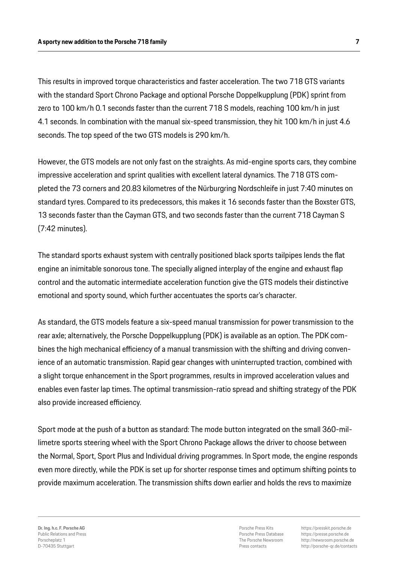This results in improved torque characteristics and faster acceleration. The two 718 GTS variants with the standard Sport Chrono Package and optional Porsche Doppelkupplung (PDK) sprint from zero to 100 km/h 0.1 seconds faster than the current 718 S models, reaching 100 km/h in just 4.1 seconds. In combination with the manual six-speed transmission, they hit 100 km/h in just 4.6 seconds. The top speed of the two GTS models is 290 km/h.

However, the GTS models are not only fast on the straights. As mid-engine sports cars, they combine impressive acceleration and sprint qualities with excellent lateral dynamics. The 718 GTS completed the 73 corners and 20.83 kilometres of the Nürburgring Nordschleife in just 7:40 minutes on standard tyres. Compared to its predecessors, this makes it 16 seconds faster than the Boxster GTS, 13 seconds faster than the Cayman GTS, and two seconds faster than the current 718 Cayman S (7:42 minutes).

The standard sports exhaust system with centrally positioned black sports tailpipes lends the flat engine an inimitable sonorous tone. The specially aligned interplay of the engine and exhaust flap control and the automatic intermediate acceleration function give the GTS models their distinctive emotional and sporty sound, which further accentuates the sports car's character.

As standard, the GTS models feature a six-speed manual transmission for power transmission to the rear axle; alternatively, the Porsche Doppelkupplung (PDK) is available as an option. The PDK combines the high mechanical efficiency of a manual transmission with the shifting and driving convenience of an automatic transmission. Rapid gear changes with uninterrupted traction, combined with a slight torque enhancement in the Sport programmes, results in improved acceleration values and enables even faster lap times. The optimal transmission-ratio spread and shifting strategy of the PDK also provide increased efficiency.

Sport mode at the push of a button as standard: The mode button integrated on the small 360-millimetre sports steering wheel with the Sport Chrono Package allows the driver to choose between the Normal, Sport, Sport Plus and Individual driving programmes. In Sport mode, the engine responds even more directly, while the PDK is set up for shorter response times and optimum shifting points to provide maximum acceleration. The transmission shifts down earlier and holds the revs to maximize

Porsche Press Kits Porsche Press Database The Porsche Newsroom Press contacts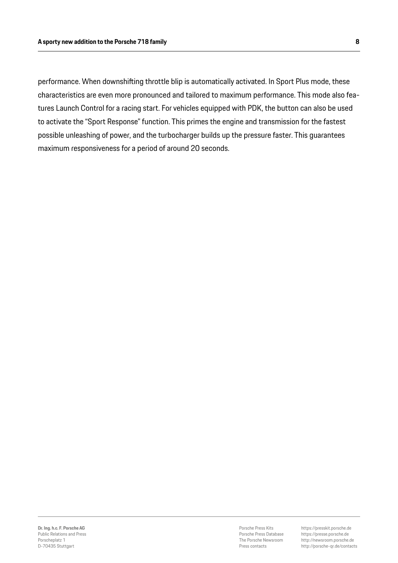performance. When downshifting throttle blip is automatically activated. In Sport Plus mode, these characteristics are even more pronounced and tailored to maximum performance. This mode also features Launch Control for a racing start. For vehicles equipped with PDK, the button can also be used to activate the "Sport Response" function. This primes the engine and transmission for the fastest possible unleashing of power, and the turbocharger builds up the pressure faster. This guarantees maximum responsiveness for a period of around 20 seconds.

Porsche Press Kits Porsche Press Database The Porsche Newsroom Press contacts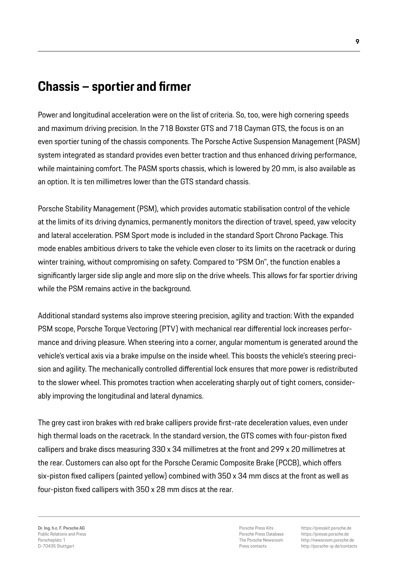## **Chassis – sportier and firmer**

Power and longitudinal acceleration were on the list of criteria. So, too, were high cornering speeds and maximum driving precision. In the 718 Boxster GTS and 718 Cayman GTS, the focus is on an even sportier tuning of the chassis components. The Porsche Active Suspension Management (PASM) system integrated as standard provides even better traction and thus enhanced driving performance, while maintaining comfort. The PASM sports chassis, which is lowered by 20 mm, is also available as an option. It is ten millimetres lower than the GTS standard chassis.

Porsche Stability Management (PSM), which provides automatic stabilisation control of the vehicle at the limits of its driving dynamics, permanently monitors the direction of travel, speed, yaw velocity and lateral acceleration. PSM Sport mode is included in the standard Sport Chrono Package. This mode enables ambitious drivers to take the vehicle even closer to its limits on the racetrack or during winter training, without compromising on safety. Compared to "PSM On", the function enables a significantly larger side slip angle and more slip on the drive wheels. This allows for far sportier driving while the PSM remains active in the background.

Additional standard systems also improve steering precision, agility and traction: With the expanded PSM scope, Porsche Torque Vectoring (PTV) with mechanical rear differential lock increases performance and driving pleasure. When steering into a corner, angular momentum is generated around the vehicle's vertical axis via a brake impulse on the inside wheel. This boosts the vehicle's steering precision and agility. The mechanically controlled differential lock ensures that more power is redistributed to the slower wheel. This promotes traction when accelerating sharply out of tight corners, considerably improving the longitudinal and lateral dynamics.

The grey cast iron brakes with red brake callipers provide first-rate deceleration values, even under high thermal loads on the racetrack. In the standard version, the GTS comes with four-piston fixed callipers and brake discs measuring 330 x 34 millimetres at the front and 299 x 20 millimetres at the rear. Customers can also opt for the Porsche Ceramic Composite Brake (PCCB), which offers six-piston fixed callipers (painted yellow) combined with 350 x 34 mm discs at the front as well as four-piston fixed callipers with 350 x 28 mm discs at the rear.

Porsche Press Kits Porsche Press Database The Porsche Newsroom Press contacts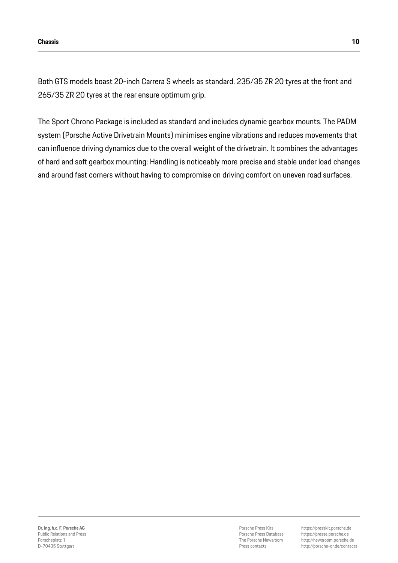Both GTS models boast 20-inch Carrera S wheels as standard. 235/35 ZR 20 tyres at the front and 265/35 ZR 20 tyres at the rear ensure optimum grip.

The Sport Chrono Package is included as standard and includes dynamic gearbox mounts. The PADM system (Porsche Active Drivetrain Mounts) minimises engine vibrations and reduces movements that can influence driving dynamics due to the overall weight of the drivetrain. It combines the advantages of hard and soft gearbox mounting: Handling is noticeably more precise and stable under load changes and around fast corners without having to compromise on driving comfort on uneven road surfaces.

Porsche Press Kits Porsche Press Database The Porsche Newsroom Press contacts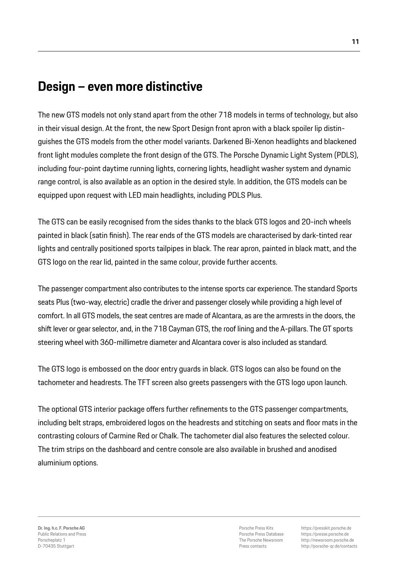### **Design – even more distinctive**

The new GTS models not only stand apart from the other 718 models in terms of technology, but also in their visual design. At the front, the new Sport Design front apron with a black spoiler lip distinguishes the GTS models from the other model variants. Darkened Bi-Xenon headlights and blackened front light modules complete the front design of the GTS. The Porsche Dynamic Light System (PDLS), including four-point daytime running lights, cornering lights, headlight washer system and dynamic range control, is also available as an option in the desired style. In addition, the GTS models can be equipped upon request with LED main headlights, including PDLS Plus.

The GTS can be easily recognised from the sides thanks to the black GTS logos and 20-inch wheels painted in black (satin finish). The rear ends of the GTS models are characterised by dark-tinted rear lights and centrally positioned sports tailpipes in black. The rear apron, painted in black matt, and the GTS logo on the rear lid, painted in the same colour, provide further accents.

The passenger compartment also contributes to the intense sports car experience. The standard Sports seats Plus (two-way, electric) cradle the driver and passenger closely while providing a high level of comfort. In all GTS models, the seat centres are made of Alcantara, as are the armrests in the doors, the shift lever or gear selector, and, in the 718 Cayman GTS, the roof lining and the A-pillars. The GT sports steering wheel with 360-millimetre diameter and Alcantara cover is also included as standard.

The GTS logo is embossed on the door entry guards in black. GTS logos can also be found on the tachometer and headrests. The TFT screen also greets passengers with the GTS logo upon launch.

The optional GTS interior package offers further refinements to the GTS passenger compartments, including belt straps, embroidered logos on the headrests and stitching on seats and floor mats in the contrasting colours of Carmine Red or Chalk. The tachometer dial also features the selected colour. The trim strips on the dashboard and centre console are also available in brushed and anodised aluminium options.

Porsche Press Kits Porsche Press Database The Porsche Newsroom Press contacts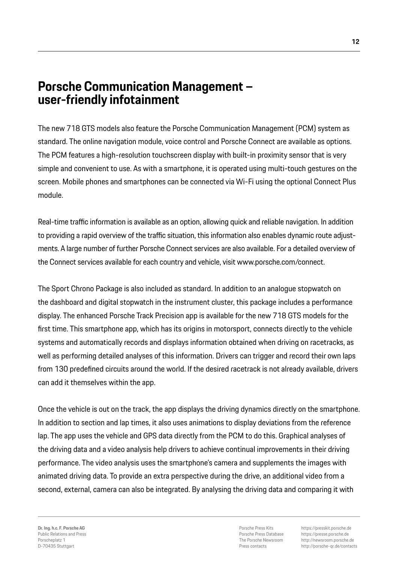### **Porsche Communication Management – user-friendly infotainment**

The new 718 GTS models also feature the Porsche Communication Management (PCM) system as standard. The online navigation module, voice control and Porsche Connect are available as options. The PCM features a high-resolution touchscreen display with built-in proximity sensor that is very simple and convenient to use. As with a smartphone, it is operated using multi-touch gestures on the screen. Mobile phones and smartphones can be connected via Wi-Fi using the optional Connect Plus module.

Real-time traffic information is available as an option, allowing quick and reliable navigation. In addition to providing a rapid overview of the traffic situation, this information also enables dynamic route adjustments. A large number of further Porsche Connect services are also available. For a detailed overview of the Connect services available for each country and vehicle, visit www.porsche.com/connect.

The Sport Chrono Package is also included as standard. In addition to an analogue stopwatch on the dashboard and digital stopwatch in the instrument cluster, this package includes a performance display. The enhanced Porsche Track Precision app is available for the new 718 GTS models for the first time. This smartphone app, which has its origins in motorsport, connects directly to the vehicle systems and automatically records and displays information obtained when driving on racetracks, as well as performing detailed analyses of this information. Drivers can trigger and record their own laps from 130 predefined circuits around the world. If the desired racetrack is not already available, drivers can add it themselves within the app.

Once the vehicle is out on the track, the app displays the driving dynamics directly on the smartphone. In addition to section and lap times, it also uses animations to display deviations from the reference lap. The app uses the vehicle and GPS data directly from the PCM to do this. Graphical analyses of the driving data and a video analysis help drivers to achieve continual improvements in their driving performance. The video analysis uses the smartphone's camera and supplements the images with animated driving data. To provide an extra perspective during the drive, an additional video from a second, external, camera can also be integrated. By analysing the driving data and comparing it with

**Dr. Ing. h.c. F. Porsche AG** Public Relations and Press Porscheplatz 1 D-70435 Stuttgart

Porsche Press Kits Porsche Press Database The Porsche Newsroom Press contacts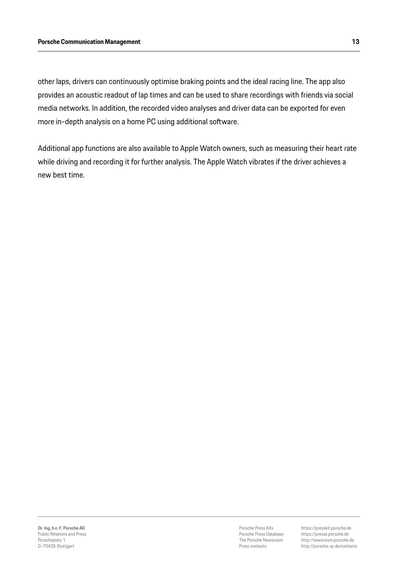other laps, drivers can continuously optimise braking points and the ideal racing line. The app also provides an acoustic readout of lap times and can be used to share recordings with friends via social media networks. In addition, the recorded video analyses and driver data can be exported for even more in-depth analysis on a home PC using additional software.

Additional app functions are also available to Apple Watch owners, such as measuring their heart rate while driving and recording it for further analysis. The Apple Watch vibrates if the driver achieves a new best time.

Porsche Press Kits Porsche Press Database The Porsche Newsroom Press contacts